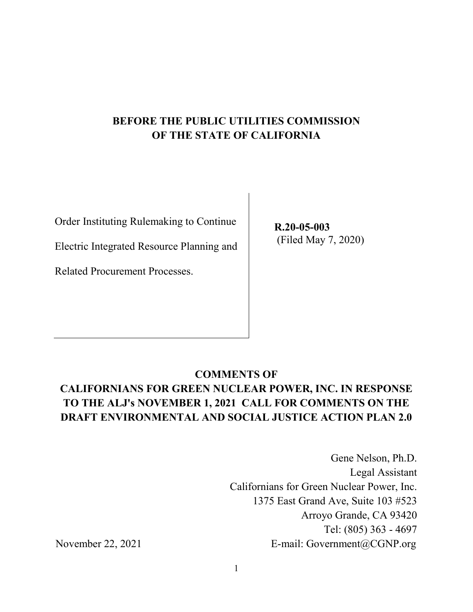## **BEFORE THE PUBLIC UTILITIES COMMISSION OF THE STATE OF CALIFORNIA**

Order Instituting Rulemaking to Continue

Electric Integrated Resource Planning and

Related Procurement Processes.

**R.20-05-003**  (Filed May 7, 2020)

### **COMMENTS OF**

# **CALIFORNIANS FOR GREEN NUCLEAR POWER, INC. IN RESPONSE TO THE ALJ's NOVEMBER 1, 2021 CALL FOR COMMENTS ON THE DRAFT ENVIRONMENTAL AND SOCIAL JUSTICE ACTION PLAN 2.0**

Gene Nelson, Ph.D. Legal Assistant Californians for Green Nuclear Power, Inc. 1375 East Grand Ave, Suite 103 #523 Arroyo Grande, CA 93420 Tel: (805) 363 - 4697 November 22, 2021 E-mail: Government@CGNP.org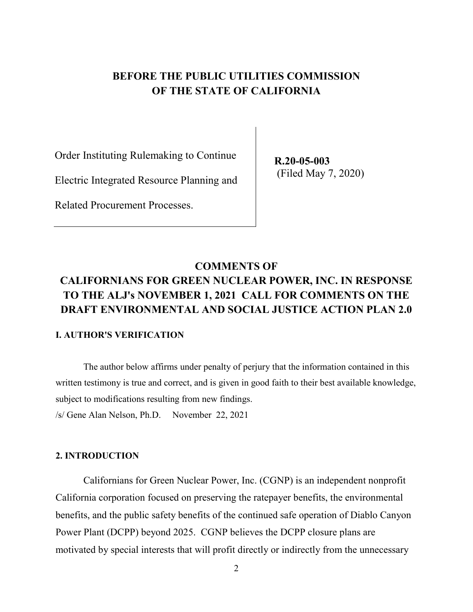### **BEFORE THE PUBLIC UTILITIES COMMISSION OF THE STATE OF CALIFORNIA**

Order Instituting Rulemaking to Continue

Electric Integrated Resource Planning and

Related Procurement Processes.

**R.20-05-003**  (Filed May 7, 2020)

## **COMMENTS OF CALIFORNIANS FOR GREEN NUCLEAR POWER, INC. IN RESPONSE TO THE ALJ's NOVEMBER 1, 2021 CALL FOR COMMENTS ON THE DRAFT ENVIRONMENTAL AND SOCIAL JUSTICE ACTION PLAN 2.0**

#### **I. AUTHOR'S VERIFICATION**

The author below affirms under penalty of perjury that the information contained in this written testimony is true and correct, and is given in good faith to their best available knowledge, subject to modifications resulting from new findings.

/s/ Gene Alan Nelson, Ph.D. November 22, 2021

#### **2. INTRODUCTION**

Californians for Green Nuclear Power, Inc. (CGNP) is an independent nonprofit California corporation focused on preserving the ratepayer benefits, the environmental benefits, and the public safety benefits of the continued safe operation of Diablo Canyon Power Plant (DCPP) beyond 2025. CGNP believes the DCPP closure plans are motivated by special interests that will profit directly or indirectly from the unnecessary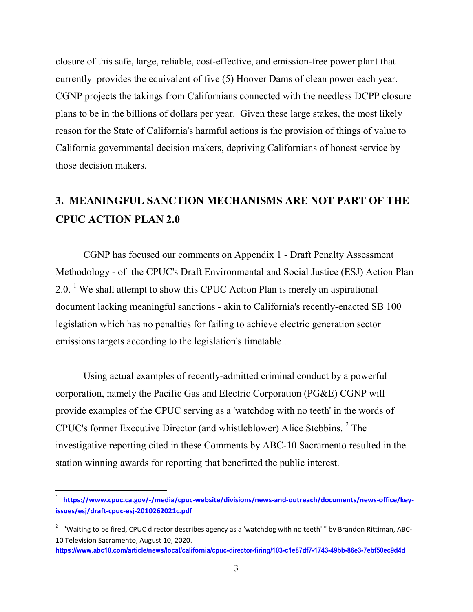closure of this safe, large, reliable, cost-effective, and emission-free power plant that currently provides the equivalent of five (5) Hoover Dams of clean power each year. CGNP projects the takings from Californians connected with the needless DCPP closure plans to be in the billions of dollars per year. Given these large stakes, the most likely reason for the State of California's harmful actions is the provision of things of value to California governmental decision makers, depriving Californians of honest service by those decision makers.

# **3. MEANINGFUL SANCTION MECHANISMS ARE NOT PART OF THE CPUC ACTION PLAN 2.0**

CGNP has focused our comments on Appendix 1 - Draft Penalty Assessment Methodology - of the CPUC's Draft Environmental and Social Justice (ESJ) Action Plan 2.0. <sup>1</sup> We shall attempt to show this CPUC Action Plan is merely an aspirational document lacking meaningful sanctions - akin to California's recently-enacted SB 100 legislation which has no penalties for failing to achieve electric generation sector emissions targets according to the legislation's timetable .

Using actual examples of recently-admitted criminal conduct by a powerful corporation, namely the Pacific Gas and Electric Corporation (PG&E) CGNP will provide examples of the CPUC serving as a 'watchdog with no teeth' in the words of CPUC's former Executive Director (and whistleblower) Alice Stebbins. <sup>2</sup> The investigative reporting cited in these Comments by ABC-10 Sacramento resulted in the station winning awards for reporting that benefitted the public interest.

<sup>1</sup> **https://www.cpuc.ca.gov/-/media/cpuc-website/divisions/news-and-outreach/documents/news-office/keyissues/esj/draft-cpuc-esj-2010262021c.pdf**

<sup>&</sup>lt;sup>2</sup> "Waiting to be fired, CPUC director describes agency as a 'watchdog with no teeth' " by Brandon Rittiman, ABC-10 Television Sacramento, August 10, 2020.

**https://www.abc10.com/article/news/local/california/cpuc-director-firing/103-c1e87df7-1743-49bb-86e3-7ebf50ec9d4d**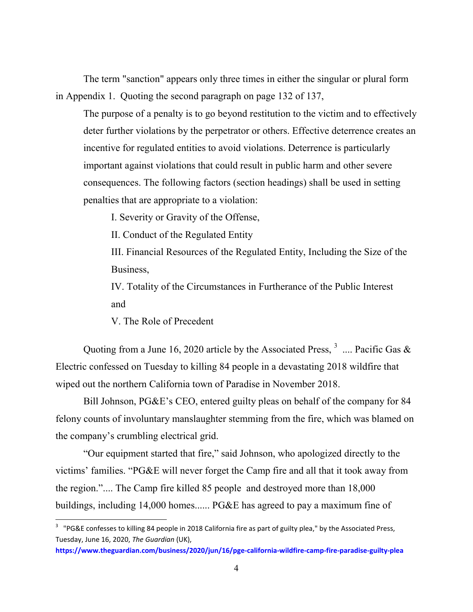The term "sanction" appears only three times in either the singular or plural form in Appendix 1. Quoting the second paragraph on page 132 of 137,

The purpose of a penalty is to go beyond restitution to the victim and to effectively deter further violations by the perpetrator or others. Effective deterrence creates an incentive for regulated entities to avoid violations. Deterrence is particularly important against violations that could result in public harm and other severe consequences. The following factors (section headings) shall be used in setting penalties that are appropriate to a violation:

I. Severity or Gravity of the Offense,

II. Conduct of the Regulated Entity

III. Financial Resources of the Regulated Entity, Including the Size of the Business,

IV. Totality of the Circumstances in Furtherance of the Public Interest and

V. The Role of Precedent

Quoting from a June 16, 2020 article by the Associated Press,  $3 \dots$  Pacific Gas & Electric confessed on Tuesday to killing 84 people in a devastating 2018 wildfire that wiped out the northern California town of Paradise in November 2018.

Bill Johnson, PG&E's CEO, entered guilty pleas on behalf of the company for 84 felony counts of involuntary manslaughter stemming from the fire, which was blamed on the company's crumbling electrical grid.

"Our equipment started that fire," said Johnson, who apologized directly to the victims' families. "PG&E will never forget the Camp fire and all that it took away from the region.".... The Camp fire killed 85 people and destroyed more than 18,000 buildings, including 14,000 homes...... PG&E has agreed to pay a maximum fine of

<sup>&</sup>lt;sup>3</sup> "PG&E confesses to killing 84 people in 2018 California fire as part of guilty plea," by the Associated Press, Tuesday, June 16, 2020, *The Guardian* (UK),

**https://www.theguardian.com/business/2020/jun/16/pge-california-wildfire-camp-fire-paradise-guilty-plea**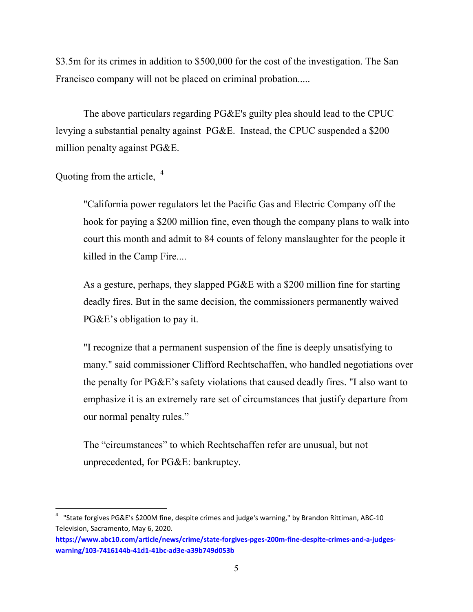\$3.5m for its crimes in addition to \$500,000 for the cost of the investigation. The San Francisco company will not be placed on criminal probation.....

The above particulars regarding PG&E's guilty plea should lead to the CPUC levying a substantial penalty against PG&E. Instead, the CPUC suspended a \$200 million penalty against PG&E.

Quoting from the article, <sup>4</sup>

"California power regulators let the Pacific Gas and Electric Company off the hook for paying a \$200 million fine, even though the company plans to walk into court this month and admit to 84 counts of felony manslaughter for the people it killed in the Camp Fire....

As a gesture, perhaps, they slapped PG&E with a \$200 million fine for starting deadly fires. But in the same decision, the commissioners permanently waived PG&E's obligation to pay it.

"I recognize that a permanent suspension of the fine is deeply unsatisfying to many." said commissioner Clifford Rechtschaffen, who handled negotiations over the penalty for PG&E's safety violations that caused deadly fires. "I also want to emphasize it is an extremely rare set of circumstances that justify departure from our normal penalty rules."

The "circumstances" to which Rechtschaffen refer are unusual, but not unprecedented, for PG&E: bankruptcy.

<sup>&</sup>lt;sup>4</sup> "State forgives PG&E's \$200M fine, despite crimes and judge's warning," by Brandon Rittiman, ABC-10 Television, Sacramento, May 6, 2020.

**https://www.abc10.com/article/news/crime/state-forgives-pges-200m-fine-despite-crimes-and-a-judgeswarning/103-7416144b-41d1-41bc-ad3e-a39b749d053b**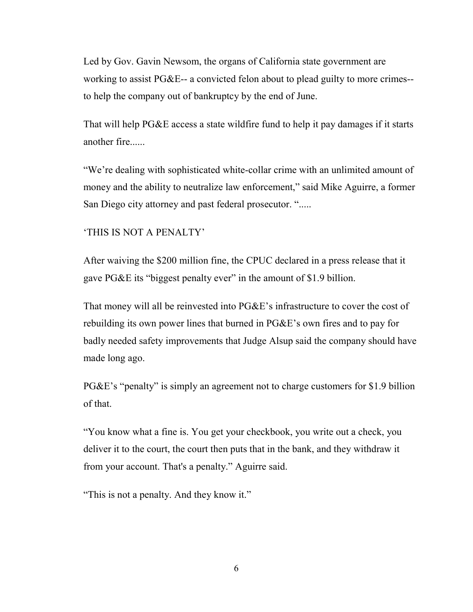Led by Gov. Gavin Newsom, the organs of California state government are working to assist PG&E-- a convicted felon about to plead guilty to more crimes- to help the company out of bankruptcy by the end of June.

That will help PG&E access a state wildfire fund to help it pay damages if it starts another fire......

"We're dealing with sophisticated white-collar crime with an unlimited amount of money and the ability to neutralize law enforcement," said Mike Aguirre, a former San Diego city attorney and past federal prosecutor. ".....

#### 'THIS IS NOT A PENALTY'

After waiving the \$200 million fine, the CPUC declared in a press release that it gave PG&E its "biggest penalty ever" in the amount of \$1.9 billion.

That money will all be reinvested into PG&E's infrastructure to cover the cost of rebuilding its own power lines that burned in PG&E's own fires and to pay for badly needed safety improvements that Judge Alsup said the company should have made long ago.

PG&E's "penalty" is simply an agreement not to charge customers for \$1.9 billion of that.

"You know what a fine is. You get your checkbook, you write out a check, you deliver it to the court, the court then puts that in the bank, and they withdraw it from your account. That's a penalty." Aguirre said.

"This is not a penalty. And they know it."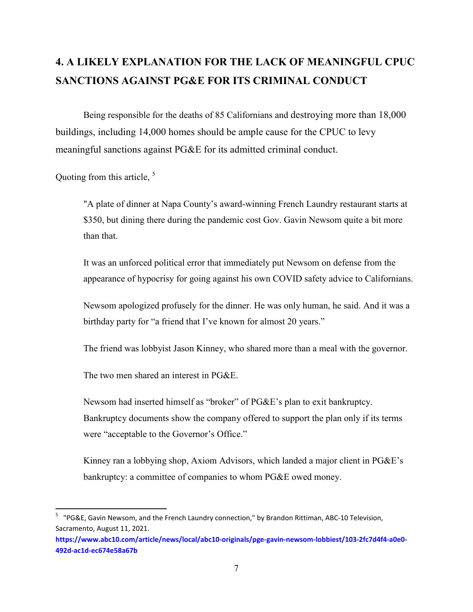# **4. A LIKELY EXPLANATION FOR THE LACK OF MEANINGFUL CPUC SANCTIONS AGAINST PG&E FOR ITS CRIMINAL CONDUCT**

Being responsible for the deaths of 85 Californians and destroying more than 18,000 buildings, including 14,000 homes should be ample cause for the CPUC to levy meaningful sanctions against PG&E for its admitted criminal conduct.

Quoting from this article,  $<sup>5</sup>$ </sup>

"A plate of dinner at Napa County's award-winning French Laundry restaurant starts at \$350, but dining there during the pandemic cost Gov. Gavin Newsom quite a bit more than that.

It was an unforced political error that immediately put Newsom on defense from the appearance of hypocrisy for going against his own COVID safety advice to Californians.

Newsom apologized profusely for the dinner. He was only human, he said. And it was a birthday party for "a friend that I've known for almost 20 years."

The friend was lobbyist Jason Kinney, who shared more than a meal with the governor.

The two men shared an interest in PG&E.

Newsom had inserted himself as "broker" of PG&E's plan to exit bankruptcy. Bankruptcy documents show the company offered to support the plan only if its terms were "acceptable to the Governor's Office."

Kinney ran a lobbying shop, Axiom Advisors, which landed a major client in PG&E's bankruptcy: a committee of companies to whom PG&E owed money.

<sup>&</sup>lt;sup>5</sup> "PG&E, Gavin Newsom, and the French Laundry connection," by Brandon Rittiman, ABC-10 Television, Sacramento, August 11, 2021.

**https://www.abc10.com/article/news/local/abc10-originals/pge-gavin-newsom-lobbiest/103-2fc7d4f4-a0e0- 492d-ac1d-ec674e58a67b**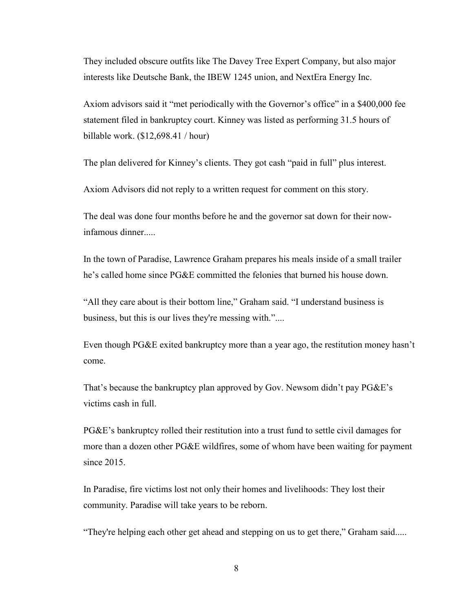They included obscure outfits like The Davey Tree Expert Company, but also major interests like Deutsche Bank, the IBEW 1245 union, and NextEra Energy Inc.

Axiom advisors said it "met periodically with the Governor's office" in a \$400,000 fee statement filed in bankruptcy court. Kinney was listed as performing 31.5 hours of billable work. (\$12,698.41 / hour)

The plan delivered for Kinney's clients. They got cash "paid in full" plus interest.

Axiom Advisors did not reply to a written request for comment on this story.

The deal was done four months before he and the governor sat down for their nowinfamous dinner.....

In the town of Paradise, Lawrence Graham prepares his meals inside of a small trailer he's called home since PG&E committed the felonies that burned his house down.

"All they care about is their bottom line," Graham said. "I understand business is business, but this is our lives they're messing with."....

Even though PG&E exited bankruptcy more than a year ago, the restitution money hasn't come.

That's because the bankruptcy plan approved by Gov. Newsom didn't pay PG&E's victims cash in full.

PG&E's bankruptcy rolled their restitution into a trust fund to settle civil damages for more than a dozen other PG&E wildfires, some of whom have been waiting for payment since 2015.

In Paradise, fire victims lost not only their homes and livelihoods: They lost their community. Paradise will take years to be reborn.

"They're helping each other get ahead and stepping on us to get there," Graham said.....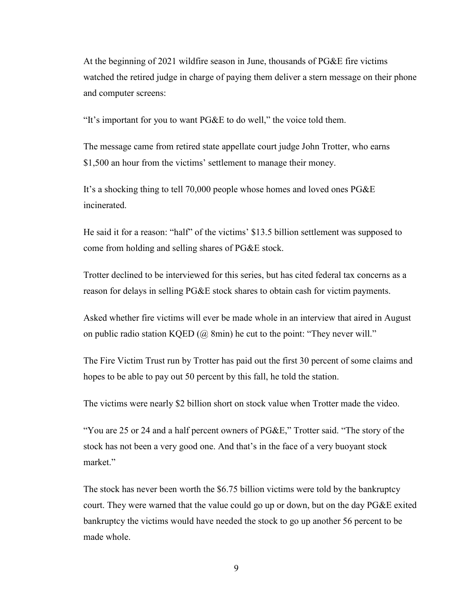At the beginning of 2021 wildfire season in June, thousands of PG&E fire victims watched the retired judge in charge of paying them deliver a stern message on their phone and computer screens:

"It's important for you to want PG&E to do well," the voice told them.

The message came from retired state appellate court judge John Trotter, who earns \$1,500 an hour from the victims' settlement to manage their money.

It's a shocking thing to tell 70,000 people whose homes and loved ones PG&E incinerated.

He said it for a reason: "half" of the victims' \$13.5 billion settlement was supposed to come from holding and selling shares of PG&E stock.

Trotter declined to be interviewed for this series, but has cited federal tax concerns as a reason for delays in selling PG&E stock shares to obtain cash for victim payments.

Asked whether fire victims will ever be made whole in an interview that aired in August on public radio station KQED  $(Q\omega)$  8min) he cut to the point: "They never will."

The Fire Victim Trust run by Trotter has paid out the first 30 percent of some claims and hopes to be able to pay out 50 percent by this fall, he told the station.

The victims were nearly \$2 billion short on stock value when Trotter made the video.

"You are 25 or 24 and a half percent owners of PG&E," Trotter said. "The story of the stock has not been a very good one. And that's in the face of a very buoyant stock market."

The stock has never been worth the \$6.75 billion victims were told by the bankruptcy court. They were warned that the value could go up or down, but on the day PG&E exited bankruptcy the victims would have needed the stock to go up another 56 percent to be made whole.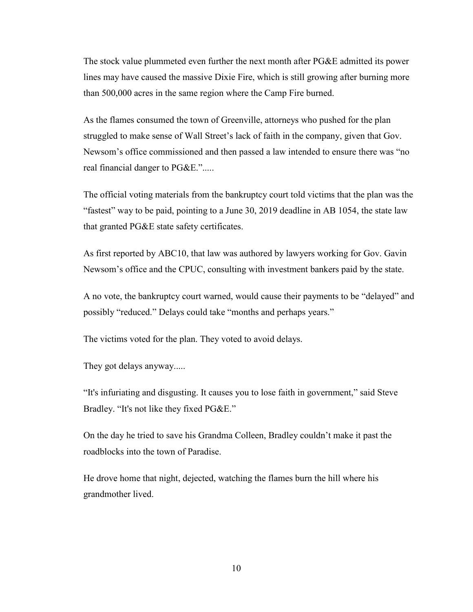The stock value plummeted even further the next month after PG&E admitted its power lines may have caused the massive Dixie Fire, which is still growing after burning more than 500,000 acres in the same region where the Camp Fire burned.

As the flames consumed the town of Greenville, attorneys who pushed for the plan struggled to make sense of Wall Street's lack of faith in the company, given that Gov. Newsom's office commissioned and then passed a law intended to ensure there was "no real financial danger to PG&E.".....

The official voting materials from the bankruptcy court told victims that the plan was the "fastest" way to be paid, pointing to a June 30, 2019 deadline in AB 1054, the state law that granted PG&E state safety certificates.

As first reported by ABC10, that law was authored by lawyers working for Gov. Gavin Newsom's office and the CPUC, consulting with investment bankers paid by the state.

A no vote, the bankruptcy court warned, would cause their payments to be "delayed" and possibly "reduced." Delays could take "months and perhaps years."

The victims voted for the plan. They voted to avoid delays.

They got delays anyway.....

"It's infuriating and disgusting. It causes you to lose faith in government," said Steve Bradley. "It's not like they fixed PG&E."

On the day he tried to save his Grandma Colleen, Bradley couldn't make it past the roadblocks into the town of Paradise.

He drove home that night, dejected, watching the flames burn the hill where his grandmother lived.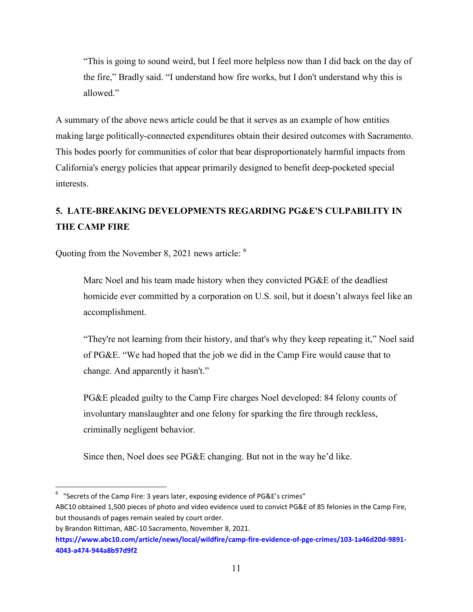"This is going to sound weird, but I feel more helpless now than I did back on the day of the fire," Bradly said. "I understand how fire works, but I don't understand why this is allowed."

A summary of the above news article could be that it serves as an example of how entities making large politically-connected expenditures obtain their desired outcomes with Sacramento. This bodes poorly for communities of color that bear disproportionately harmful impacts from California's energy policies that appear primarily designed to benefit deep-pocketed special interests.

## **5. LATE-BREAKING DEVELOPMENTS REGARDING PG&E'S CULPABILITY IN THE CAMP FIRE**

Quoting from the November 8, 2021 news article: <sup>6</sup>

Marc Noel and his team made history when they convicted PG&E of the deadliest homicide ever committed by a corporation on U.S. soil, but it doesn't always feel like an accomplishment.

"They're not learning from their history, and that's why they keep repeating it," Noel said of PG&E. "We had hoped that the job we did in the Camp Fire would cause that to change. And apparently it hasn't."

PG&E pleaded guilty to the Camp Fire charges Noel developed: 84 felony counts of involuntary manslaughter and one felony for sparking the fire through reckless, criminally negligent behavior.

Since then, Noel does see PG&E changing. But not in the way he'd like.

 $^6$  "Secrets of the Camp Fire: 3 years later, exposing evidence of PG&E's crimes"

ABC10 obtained 1,500 pieces of photo and video evidence used to convict PG&E of 85 felonies in the Camp Fire, but thousands of pages remain sealed by court order.

by Brandon Rittiman, ABC-10 Sacramento, November 8, 2021.

**https://www.abc10.com/article/news/local/wildfire/camp-fire-evidence-of-pge-crimes/103-1a46d20d-9891- 4043-a474-944a8b97d9f2**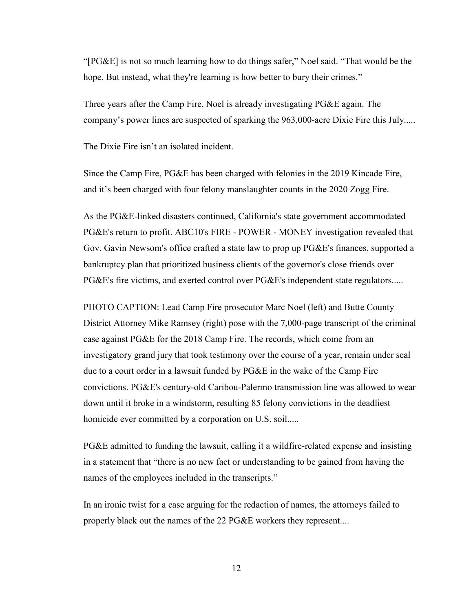"[PG&E] is not so much learning how to do things safer," Noel said. "That would be the hope. But instead, what they're learning is how better to bury their crimes."

Three years after the Camp Fire, Noel is already investigating PG&E again. The company's power lines are suspected of sparking the 963,000-acre Dixie Fire this July.....

The Dixie Fire isn't an isolated incident.

Since the Camp Fire, PG&E has been charged with felonies in the 2019 Kincade Fire, and it's been charged with four felony manslaughter counts in the 2020 Zogg Fire.

As the PG&E-linked disasters continued, California's state government accommodated PG&E's return to profit. ABC10's FIRE - POWER - MONEY investigation revealed that Gov. Gavin Newsom's office crafted a state law to prop up PG&E's finances, supported a bankruptcy plan that prioritized business clients of the governor's close friends over PG&E's fire victims, and exerted control over PG&E's independent state regulators.....

PHOTO CAPTION: Lead Camp Fire prosecutor Marc Noel (left) and Butte County District Attorney Mike Ramsey (right) pose with the 7,000-page transcript of the criminal case against PG&E for the 2018 Camp Fire. The records, which come from an investigatory grand jury that took testimony over the course of a year, remain under seal due to a court order in a lawsuit funded by PG&E in the wake of the Camp Fire convictions. PG&E's century-old Caribou-Palermo transmission line was allowed to wear down until it broke in a windstorm, resulting 85 felony convictions in the deadliest homicide ever committed by a corporation on U.S. soil.....

PG&E admitted to funding the lawsuit, calling it a wildfire-related expense and insisting in a statement that "there is no new fact or understanding to be gained from having the names of the employees included in the transcripts."

In an ironic twist for a case arguing for the redaction of names, the attorneys failed to properly black out the names of the 22 PG&E workers they represent....

12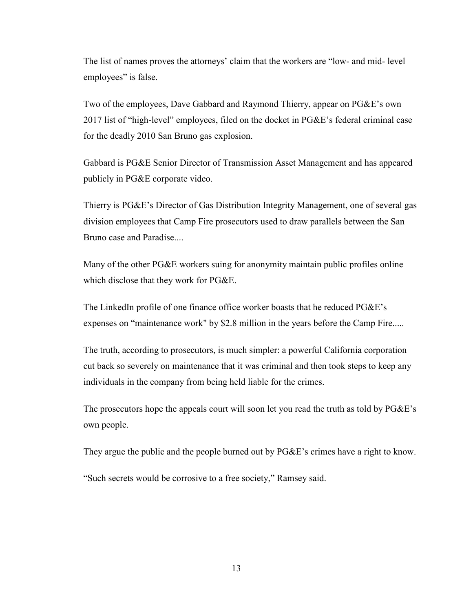The list of names proves the attorneys' claim that the workers are "low- and mid- level employees" is false.

Two of the employees, Dave Gabbard and Raymond Thierry, appear on PG&E's own 2017 list of "high-level" employees, filed on the docket in PG&E's federal criminal case for the deadly 2010 San Bruno gas explosion.

Gabbard is PG&E Senior Director of Transmission Asset Management and has appeared publicly in PG&E corporate video.

Thierry is PG&E's Director of Gas Distribution Integrity Management, one of several gas division employees that Camp Fire prosecutors used to draw parallels between the San Bruno case and Paradise....

Many of the other PG&E workers suing for anonymity maintain public profiles online which disclose that they work for PG&E.

The LinkedIn profile of one finance office worker boasts that he reduced PG&E's expenses on "maintenance work" by \$2.8 million in the years before the Camp Fire.....

The truth, according to prosecutors, is much simpler: a powerful California corporation cut back so severely on maintenance that it was criminal and then took steps to keep any individuals in the company from being held liable for the crimes.

The prosecutors hope the appeals court will soon let you read the truth as told by PG&E's own people.

They argue the public and the people burned out by PG&E's crimes have a right to know.

"Such secrets would be corrosive to a free society," Ramsey said.